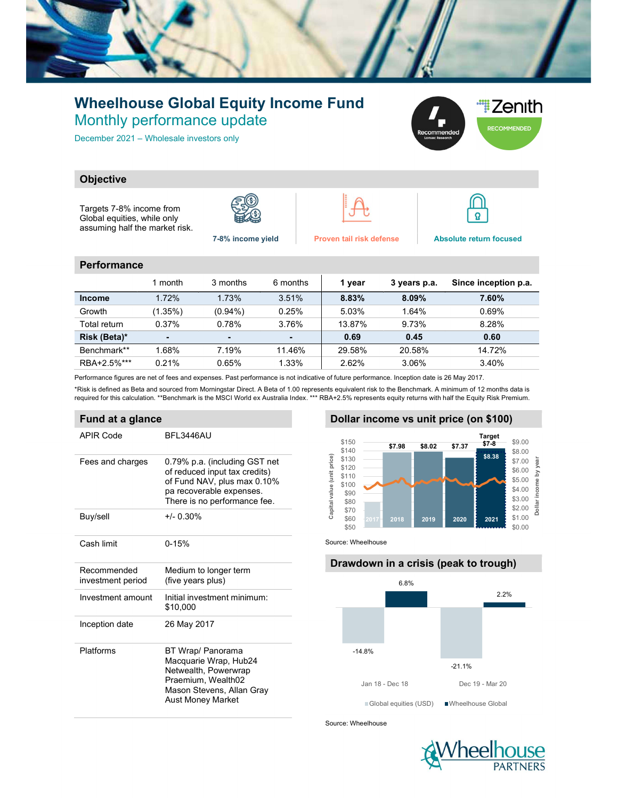

## Wheelhouse Global Equity Income Fund Monthly performance update

December 2021 – Wholesale investors only



#### **Objective**

Targets 7-8% income from Global equities, while only assuming half the market risk.







7-8% income yield Proven tail risk defense Absolute return focused

#### **Performance**

|               | 1 month | 3 months   | 6 months | 1 year | 3 years p.a. | Since inception p.a. |
|---------------|---------|------------|----------|--------|--------------|----------------------|
| <b>Income</b> | 1.72%   | 1.73%      | 3.51%    | 8.83%  | $8.09\%$     | $7.60\%$             |
| Growth        | (1.35%) | $(0.94\%)$ | 0.25%    | 5.03%  | 1.64%        | 0.69%                |
| Total return  | 0.37%   | 0.78%      | 3.76%    | 13.87% | 9.73%        | 8.28%                |
| Risk (Beta)*  |         |            |          | 0.69   | 0.45         | 0.60                 |
| Benchmark**   | 1.68%   | 7.19%      | 11.46%   | 29.58% | 20.58%       | 14.72%               |
| RBA+2.5%***   | 0.21%   | 0.65%      | 1.33%    | 2.62%  | 3.06%        | 3.40%                |

Performance figures are net of fees and expenses. Past performance is not indicative of future performance. Inception date is 26 May 2017.

\*Risk is defined as Beta and sourced from Morningstar Direct. A Beta of 1.00 represents equivalent risk to the Benchmark. A minimum of 12 months data is required for this calculation. \*\*Benchmark is the MSCI World ex Australia Index. \*\*\* RBA+2.5% represents equity returns with half the Equity Risk Premium.

#### Fund at a glance

| <b>APIR Code</b>                 | BFL3446AU                                                                                                                                                 |
|----------------------------------|-----------------------------------------------------------------------------------------------------------------------------------------------------------|
| Fees and charges                 | 0.79% p.a. (including GST net<br>of reduced input tax credits)<br>of Fund NAV, plus max 0.10%<br>pa recoverable expenses.<br>There is no performance fee. |
| Buy/sell                         | $+/- 0.30\%$                                                                                                                                              |
| Cash limit                       | $0 - 15%$                                                                                                                                                 |
| Recommended<br>investment period | Medium to longer term<br>(five years plus)                                                                                                                |
| Investment amount                | Initial investment minimum:<br>\$10,000                                                                                                                   |
| Inception date                   | 26 May 2017                                                                                                                                               |
| Platforms                        | BT Wrap/ Panorama<br>Macquarie Wrap, Hub24<br>Netwealth, Powerwrap<br>Praemium, Wealth02<br>Mason Stevens, Allan Gray<br><b>Aust Money Market</b>         |

### Dollar income vs unit price (on \$100)



Source: Wheelhouse

# Drawdown in a crisis (peak to trough) -14.8% -21.1% 6.8% 2.2% **ST.38 SB.02 ST.37 Target**<br> **ST.38 SB.02 ST.37 ST.48 SB.00**<br> **SB.38 SB.00**<br> **SB.38 SB.00**<br> **SB.09**<br> **SB.09**<br> **SB.09**<br> **SB.09**<br> **SB.09**<br> **SB.09**<br> **DRD**<br> **DRD**<br> **DRD**<br> **DRD**<br> **EDRD**<br> **EDRD**<br> **EDRD**<br> **EDRD** Global equities (USD) Wheelhouse Global

Source: Wheelhouse